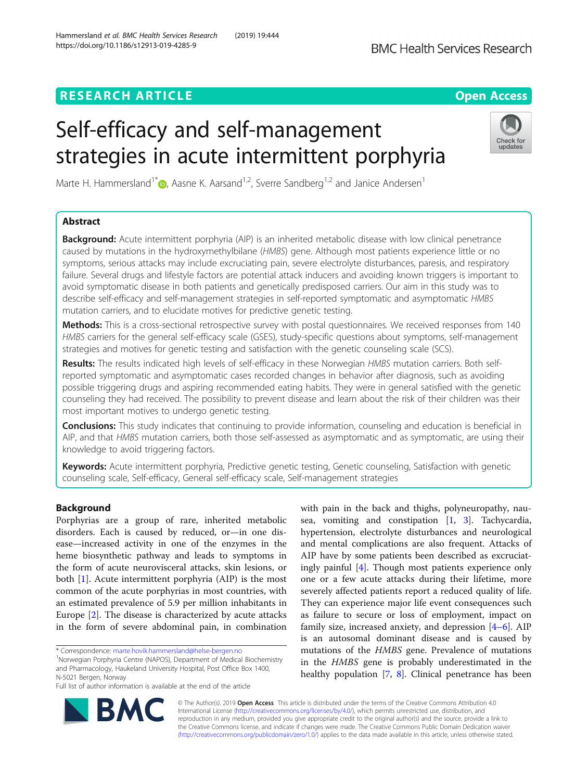# **RESEARCH ARTICLE Example 2014 12:30 The Contract of Contract ACCESS**

# Self-efficacy and self-management strategies in acute intermittent porphyria



Marte H. Hammersland<sup>1\*</sup> $\bullet$ [,](http://orcid.org/0000-0002-1796-969X) Aasne K. Aarsand<sup>1,2</sup>, Sverre Sandberg<sup>1,2</sup> and Janice Andersen<sup>1</sup>

# Abstract

**Background:** Acute intermittent porphyria (AIP) is an inherited metabolic disease with low clinical penetrance caused by mutations in the hydroxymethylbilane (HMBS) gene. Although most patients experience little or no symptoms, serious attacks may include excruciating pain, severe electrolyte disturbances, paresis, and respiratory failure. Several drugs and lifestyle factors are potential attack inducers and avoiding known triggers is important to avoid symptomatic disease in both patients and genetically predisposed carriers. Our aim in this study was to describe self-efficacy and self-management strategies in self-reported symptomatic and asymptomatic HMBS mutation carriers, and to elucidate motives for predictive genetic testing.

Methods: This is a cross-sectional retrospective survey with postal questionnaires. We received responses from 140 HMBS carriers for the general self-efficacy scale (GSES), study-specific questions about symptoms, self-management strategies and motives for genetic testing and satisfaction with the genetic counseling scale (SCS).

Results: The results indicated high levels of self-efficacy in these Norwegian HMBS mutation carriers. Both selfreported symptomatic and asymptomatic cases recorded changes in behavior after diagnosis, such as avoiding possible triggering drugs and aspiring recommended eating habits. They were in general satisfied with the genetic counseling they had received. The possibility to prevent disease and learn about the risk of their children was their most important motives to undergo genetic testing.

Conclusions: This study indicates that continuing to provide information, counseling and education is beneficial in AIP, and that HMBS mutation carriers, both those self-assessed as asymptomatic and as symptomatic, are using their knowledge to avoid triggering factors.

Keywords: Acute intermittent porphyria, Predictive genetic testing, Genetic counseling, Satisfaction with genetic counseling scale, Self-efficacy, General self-efficacy scale, Self-management strategies

# Background

Porphyrias are a group of rare, inherited metabolic disorders. Each is caused by reduced, or—in one disease—increased activity in one of the enzymes in the heme biosynthetic pathway and leads to symptoms in the form of acute neurovisceral attacks, skin lesions, or both [[1\]](#page-7-0). Acute intermittent porphyria (AIP) is the most common of the acute porphyrias in most countries, with an estimated prevalence of 5.9 per million inhabitants in Europe [\[2](#page-7-0)]. The disease is characterized by acute attacks in the form of severe abdominal pain, in combination

with pain in the back and thighs, polyneuropathy, nausea, vomiting and constipation [[1,](#page-7-0) [3\]](#page-8-0). Tachycardia, hypertension, electrolyte disturbances and neurological and mental complications are also frequent. Attacks of AIP have by some patients been described as excruciatingly painful [\[4](#page-8-0)]. Though most patients experience only one or a few acute attacks during their lifetime, more severely affected patients report a reduced quality of life. They can experience major life event consequences such as failure to secure or loss of employment, impact on family size, increased anxiety, and depression  $[4-6]$  $[4-6]$  $[4-6]$  $[4-6]$ . AIP is an autosomal dominant disease and is caused by mutations of the HMBS gene. Prevalence of mutations in the HMBS gene is probably underestimated in the healthy population [\[7](#page-8-0), [8\]](#page-8-0). Clinical penetrance has been



© The Author(s). 2019 Open Access This article is distributed under the terms of the Creative Commons Attribution 4.0 International License [\(http://creativecommons.org/licenses/by/4.0/](http://creativecommons.org/licenses/by/4.0/)), which permits unrestricted use, distribution, and reproduction in any medium, provided you give appropriate credit to the original author(s) and the source, provide a link to the Creative Commons license, and indicate if changes were made. The Creative Commons Public Domain Dedication waiver [\(http://creativecommons.org/publicdomain/zero/1.0/](http://creativecommons.org/publicdomain/zero/1.0/)) applies to the data made available in this article, unless otherwise stated.

<sup>\*</sup> Correspondence: [marte.hovik.hammersland@helse-bergen.no](mailto:marte.hovik.hammersland@helse-bergen.no) <sup>1</sup>

<sup>&</sup>lt;sup>1</sup>Norwegian Porphyria Centre (NAPOS), Department of Medical Biochemistry and Pharmacology, Haukeland University Hospital, Post Office Box 1400, N-5021 Bergen, Norway

Full list of author information is available at the end of the article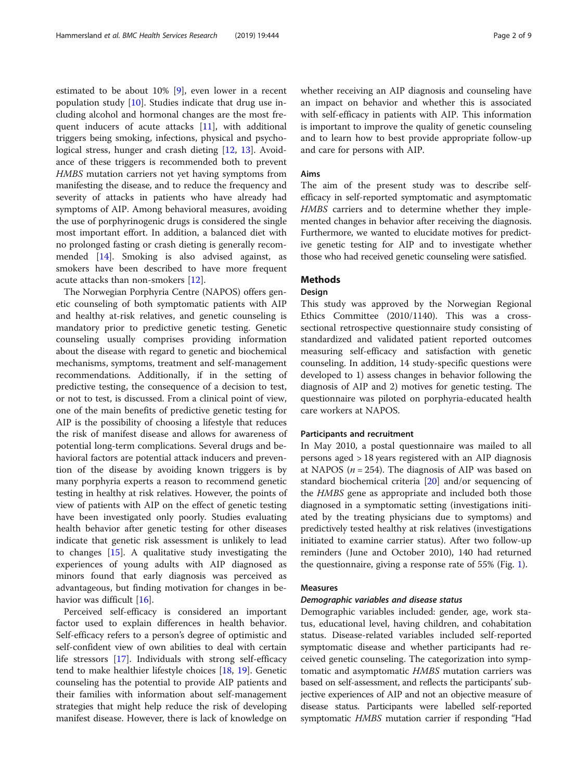estimated to be about 10% [[9\]](#page-8-0), even lower in a recent population study [[10\]](#page-8-0). Studies indicate that drug use including alcohol and hormonal changes are the most frequent inducers of acute attacks [\[11](#page-8-0)], with additional triggers being smoking, infections, physical and psycho-logical stress, hunger and crash dieting [\[12,](#page-8-0) [13\]](#page-8-0). Avoidance of these triggers is recommended both to prevent HMBS mutation carriers not yet having symptoms from manifesting the disease, and to reduce the frequency and severity of attacks in patients who have already had symptoms of AIP. Among behavioral measures, avoiding the use of porphyrinogenic drugs is considered the single most important effort. In addition, a balanced diet with no prolonged fasting or crash dieting is generally recommended [[14](#page-8-0)]. Smoking is also advised against, as smokers have been described to have more frequent acute attacks than non-smokers [\[12](#page-8-0)].

The Norwegian Porphyria Centre (NAPOS) offers genetic counseling of both symptomatic patients with AIP and healthy at-risk relatives, and genetic counseling is mandatory prior to predictive genetic testing. Genetic counseling usually comprises providing information about the disease with regard to genetic and biochemical mechanisms, symptoms, treatment and self-management recommendations. Additionally, if in the setting of predictive testing, the consequence of a decision to test, or not to test, is discussed. From a clinical point of view, one of the main benefits of predictive genetic testing for AIP is the possibility of choosing a lifestyle that reduces the risk of manifest disease and allows for awareness of potential long-term complications. Several drugs and behavioral factors are potential attack inducers and prevention of the disease by avoiding known triggers is by many porphyria experts a reason to recommend genetic testing in healthy at risk relatives. However, the points of view of patients with AIP on the effect of genetic testing have been investigated only poorly. Studies evaluating health behavior after genetic testing for other diseases indicate that genetic risk assessment is unlikely to lead to changes [[15\]](#page-8-0). A qualitative study investigating the experiences of young adults with AIP diagnosed as minors found that early diagnosis was perceived as advantageous, but finding motivation for changes in behavior was difficult  $[16]$  $[16]$ .

Perceived self-efficacy is considered an important factor used to explain differences in health behavior. Self-efficacy refers to a person's degree of optimistic and self-confident view of own abilities to deal with certain life stressors [\[17\]](#page-8-0). Individuals with strong self-efficacy tend to make healthier lifestyle choices [\[18,](#page-8-0) [19](#page-8-0)]. Genetic counseling has the potential to provide AIP patients and their families with information about self-management strategies that might help reduce the risk of developing manifest disease. However, there is lack of knowledge on whether receiving an AIP diagnosis and counseling have an impact on behavior and whether this is associated with self-efficacy in patients with AIP. This information is important to improve the quality of genetic counseling and to learn how to best provide appropriate follow-up and care for persons with AIP.

# Aims

The aim of the present study was to describe selfefficacy in self-reported symptomatic and asymptomatic HMBS carriers and to determine whether they implemented changes in behavior after receiving the diagnosis. Furthermore, we wanted to elucidate motives for predictive genetic testing for AIP and to investigate whether those who had received genetic counseling were satisfied.

# Methods

# Design

This study was approved by the Norwegian Regional Ethics Committee (2010/1140). This was a crosssectional retrospective questionnaire study consisting of standardized and validated patient reported outcomes measuring self-efficacy and satisfaction with genetic counseling. In addition, 14 study-specific questions were developed to 1) assess changes in behavior following the diagnosis of AIP and 2) motives for genetic testing. The questionnaire was piloted on porphyria-educated health care workers at NAPOS.

# Participants and recruitment

In May 2010, a postal questionnaire was mailed to all persons aged > 18 years registered with an AIP diagnosis at NAPOS ( $n = 254$ ). The diagnosis of AIP was based on standard biochemical criteria [[20\]](#page-8-0) and/or sequencing of the HMBS gene as appropriate and included both those diagnosed in a symptomatic setting (investigations initiated by the treating physicians due to symptoms) and predictively tested healthy at risk relatives (investigations initiated to examine carrier status). After two follow-up reminders (June and October 2010), 140 had returned the questionnaire, giving a response rate of 55% (Fig. [1](#page-2-0)).

# Measures

#### Demographic variables and disease status

Demographic variables included: gender, age, work status, educational level, having children, and cohabitation status. Disease-related variables included self-reported symptomatic disease and whether participants had received genetic counseling. The categorization into symptomatic and asymptomatic HMBS mutation carriers was based on self-assessment, and reflects the participants' subjective experiences of AIP and not an objective measure of disease status. Participants were labelled self-reported symptomatic HMBS mutation carrier if responding "Had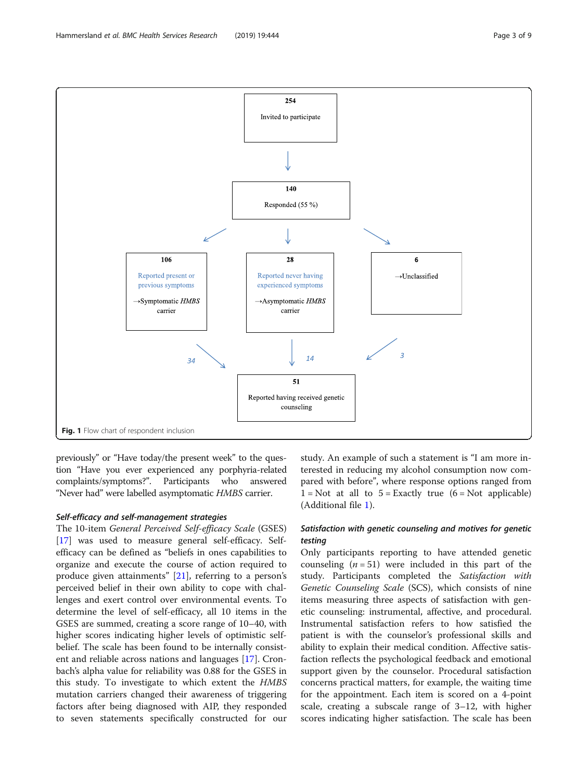previously" or "Have today/the present week" to the question "Have you ever experienced any porphyria-related complaints/symptoms?". Participants who answered "Never had" were labelled asymptomatic HMBS carrier.

# Self-efficacy and self-management strategies

The 10-item General Perceived Self-efficacy Scale (GSES) [[17\]](#page-8-0) was used to measure general self-efficacy. Selfefficacy can be defined as "beliefs in ones capabilities to organize and execute the course of action required to produce given attainments" [[21](#page-8-0)], referring to a person's perceived belief in their own ability to cope with challenges and exert control over environmental events. To determine the level of self-efficacy, all 10 items in the GSES are summed, creating a score range of 10–40, with higher scores indicating higher levels of optimistic selfbelief. The scale has been found to be internally consistent and reliable across nations and languages [\[17\]](#page-8-0). Cronbach's alpha value for reliability was 0.88 for the GSES in this study. To investigate to which extent the HMBS mutation carriers changed their awareness of triggering factors after being diagnosed with AIP, they responded to seven statements specifically constructed for our

study. An example of such a statement is "I am more interested in reducing my alcohol consumption now compared with before", where response options ranged from  $1 = Not$  at all to  $5 = Exactly$  true  $(6 = Not$  applicable) (Additional file [1](#page-7-0)).

# Satisfaction with genetic counseling and motives for genetic testing

Only participants reporting to have attended genetic counseling  $(n = 51)$  were included in this part of the study. Participants completed the Satisfaction with Genetic Counseling Scale (SCS), which consists of nine items measuring three aspects of satisfaction with genetic counseling: instrumental, affective, and procedural. Instrumental satisfaction refers to how satisfied the patient is with the counselor's professional skills and ability to explain their medical condition. Affective satisfaction reflects the psychological feedback and emotional support given by the counselor. Procedural satisfaction concerns practical matters, for example, the waiting time for the appointment. Each item is scored on a 4-point scale, creating a subscale range of 3–12, with higher scores indicating higher satisfaction. The scale has been

<span id="page-2-0"></span>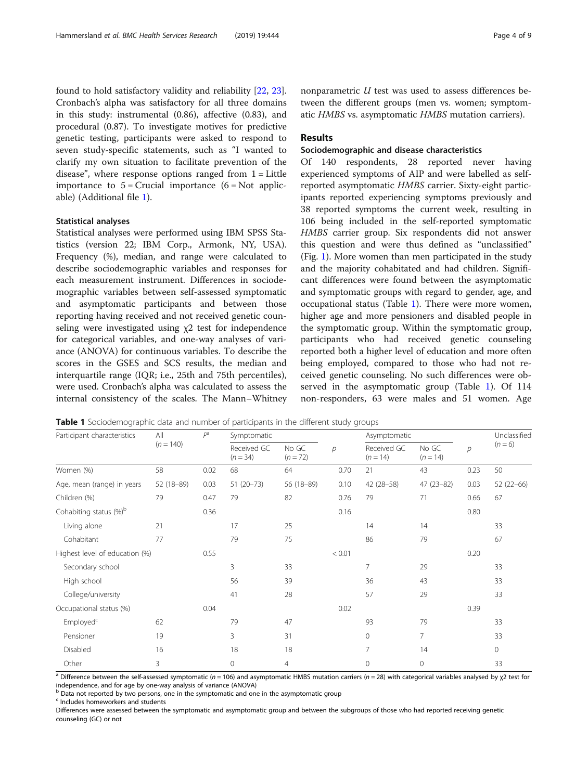<span id="page-3-0"></span>found to hold satisfactory validity and reliability [\[22](#page-8-0), [23](#page-8-0)]. Cronbach's alpha was satisfactory for all three domains in this study: instrumental (0.86), affective (0.83), and procedural (0.87). To investigate motives for predictive genetic testing, participants were asked to respond to seven study-specific statements, such as "I wanted to clarify my own situation to facilitate prevention of the disease", where response options ranged from  $1 =$  Little importance to  $5 =$  Crucial importance  $(6 = Not$  applicable) (Additional file [1\)](#page-7-0).

# Statistical analyses

Statistical analyses were performed using IBM SPSS Statistics (version 22; IBM Corp., Armonk, NY, USA). Frequency (%), median, and range were calculated to describe sociodemographic variables and responses for each measurement instrument. Differences in sociodemographic variables between self-assessed symptomatic and asymptomatic participants and between those reporting having received and not received genetic counseling were investigated using  $x^2$  test for independence for categorical variables, and one-way analyses of variance (ANOVA) for continuous variables. To describe the scores in the GSES and SCS results, the median and interquartile range (IQR; i.e., 25th and 75th percentiles), were used. Cronbach's alpha was calculated to assess the internal consistency of the scales. The Mann–Whitney nonparametric U test was used to assess differences between the different groups (men vs. women; symptomatic HMBS vs. asymptomatic HMBS mutation carriers).

# Results

# Sociodemographic and disease characteristics

Of 140 respondents, 28 reported never having experienced symptoms of AIP and were labelled as selfreported asymptomatic HMBS carrier. Sixty-eight participants reported experiencing symptoms previously and 38 reported symptoms the current week, resulting in 106 being included in the self-reported symptomatic HMBS carrier group. Six respondents did not answer this question and were thus defined as "unclassified" (Fig. [1](#page-2-0)). More women than men participated in the study and the majority cohabitated and had children. Significant differences were found between the asymptomatic and symptomatic groups with regard to gender, age, and occupational status (Table 1). There were more women, higher age and more pensioners and disabled people in the symptomatic group. Within the symptomatic group, participants who had received genetic counseling reported both a higher level of education and more often being employed, compared to those who had not received genetic counseling. No such differences were observed in the asymptomatic group (Table 1). Of 114 non-responders, 63 were males and 51 women. Age

**Table 1** Sociodemographic data and number of participants in the different study groups

| Participant characteristics        | All<br>$(n = 140)$ | $P^a$ | Symptomatic               |                     |               | Asymptomatic              |                     |               | Unclassified |
|------------------------------------|--------------------|-------|---------------------------|---------------------|---------------|---------------------------|---------------------|---------------|--------------|
|                                    |                    |       | Received GC<br>$(n = 34)$ | No GC<br>$(n = 72)$ | $\mathcal{D}$ | Received GC<br>$(n = 14)$ | No GC<br>$(n = 14)$ | $\mathcal{D}$ | $(n = 6)$    |
| Women (%)                          | 58                 | 0.02  | 68                        | 64                  | 0.70          | 21                        | 43                  | 0.23          | 50           |
| Age, mean (range) in years         | 52 (18-89)         | 0.03  | $51(20-73)$               | 56 (18-89)          | 0.10          | 42 (28-58)                | $47(23-82)$         | 0.03          | $52(22-66)$  |
| Children (%)                       | 79                 | 0.47  | 79                        | 82                  | 0.76          | 79                        | 71                  | 0.66          | 67           |
| Cohabiting status (%) <sup>b</sup> |                    | 0.36  |                           |                     | 0.16          |                           |                     | 0.80          |              |
| Living alone                       | 21                 |       | 17                        | 25                  |               | 14                        | 14                  |               | 33           |
| Cohabitant                         | 77                 |       | 79                        | 75                  |               | 86                        | 79                  |               | 67           |
| Highest level of education (%)     |                    | 0.55  |                           |                     | < 0.01        |                           |                     | 0.20          |              |
| Secondary school                   |                    |       | 3                         | 33                  |               | 7                         | 29                  |               | 33           |
| High school                        |                    |       | 56                        | 39                  |               | 36                        | 43                  |               | 33           |
| College/university                 |                    |       | 41                        | 28                  |               | 57                        | 29                  |               | 33           |
| Occupational status (%)            |                    | 0.04  |                           |                     | 0.02          |                           |                     | 0.39          |              |
| Employed <sup>c</sup>              | 62                 |       | 79                        | 47                  |               | 93                        | 79                  |               | 33           |
| Pensioner                          | 19                 |       | 3                         | 31                  |               | 0                         | 7                   |               | 33           |
| Disabled                           | 16                 |       | 18                        | 18                  |               | 7                         | 14                  |               | $\mathbf{0}$ |
| Other                              | 3                  |       | $\circ$                   | 4                   |               | 0                         | $\mathbf 0$         |               | 33           |

<sup>a</sup> Difference between the self-assessed symptomatic (n = 106) and asymptomatic HMBS mutation carriers (n = 28) with categorical variables analysed by  $\chi$ 2 test for independence, and for age by one-way analysis of variance (ANOVA)

Data not reported by two persons, one in the symptomatic and one in the asymptomatic group

<sup>c</sup> Includes homeworkers and students

Differences were assessed between the symptomatic and asymptomatic group and between the subgroups of those who had reported receiving genetic counseling (GC) or not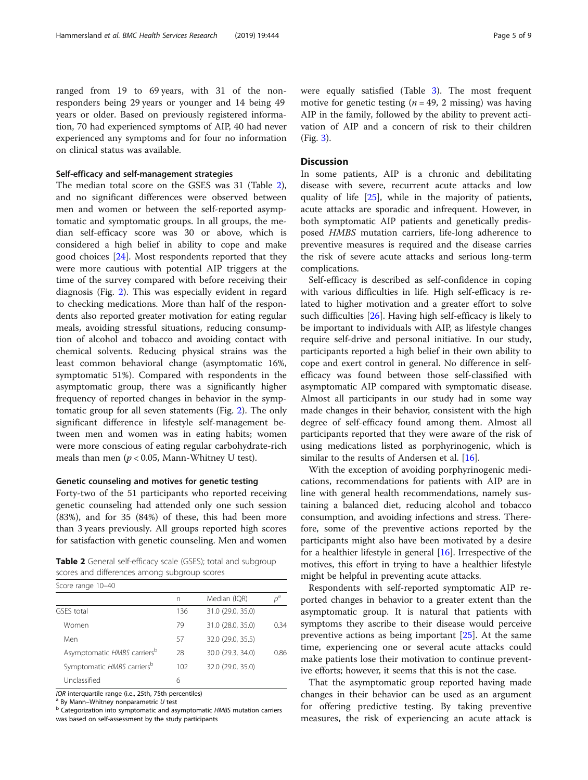ranged from 19 to 69 years, with 31 of the nonresponders being 29 years or younger and 14 being 49 years or older. Based on previously registered information, 70 had experienced symptoms of AIP, 40 had never experienced any symptoms and for four no information on clinical status was available.

# Self-efficacy and self-management strategies

The median total score on the GSES was 31 (Table 2), and no significant differences were observed between men and women or between the self-reported asymptomatic and symptomatic groups. In all groups, the median self-efficacy score was 30 or above, which is considered a high belief in ability to cope and make good choices [[24](#page-8-0)]. Most respondents reported that they were more cautious with potential AIP triggers at the time of the survey compared with before receiving their diagnosis (Fig. [2\)](#page-5-0). This was especially evident in regard to checking medications. More than half of the respondents also reported greater motivation for eating regular meals, avoiding stressful situations, reducing consumption of alcohol and tobacco and avoiding contact with chemical solvents. Reducing physical strains was the least common behavioral change (asymptomatic 16%, symptomatic 51%). Compared with respondents in the asymptomatic group, there was a significantly higher frequency of reported changes in behavior in the symptomatic group for all seven statements (Fig. [2](#page-5-0)). The only significant difference in lifestyle self-management between men and women was in eating habits; women were more conscious of eating regular carbohydrate-rich meals than men ( $p < 0.05$ , Mann-Whitney U test).

# Genetic counseling and motives for genetic testing

Forty-two of the 51 participants who reported receiving genetic counseling had attended only one such session (83%), and for 35 (84%) of these, this had been more than 3 years previously. All groups reported high scores for satisfaction with genetic counseling. Men and women

Table 2 General self-efficacy scale (GSES); total and subgroup scores and differences among subgroup scores

| Score range 10-40                       |     |                   |             |  |  |  |  |
|-----------------------------------------|-----|-------------------|-------------|--|--|--|--|
|                                         | n   | Median (IQR)      | $n^{\rm a}$ |  |  |  |  |
| <b>GSES</b> total                       | 136 | 31.0 (29.0, 35.0) |             |  |  |  |  |
| Women                                   | 79  | 31.0 (28.0, 35.0) | 0.34        |  |  |  |  |
| Men                                     | 57  | 32.0 (29.0, 35.5) |             |  |  |  |  |
| Asymptomatic HMBS carriers <sup>b</sup> | 28  | 30.0 (29.3, 34.0) | 0.86        |  |  |  |  |
| Symptomatic HMBS carriers <sup>b</sup>  | 102 | 32.0 (29.0, 35.0) |             |  |  |  |  |
| Unclassified                            | 6   |                   |             |  |  |  |  |

IQR interquartile range (i.e., 25th, 75th percentiles)<br><sup>a</sup> By Mann–Whitney nonparametric U test<br><sup>b</sup> Categorization into symptomatic and asymptomatic HMBS mutation carriers was based on self-assessment by the study participants

were equally satisfied (Table [3](#page-5-0)). The most frequent motive for genetic testing ( $n = 49$ , 2 missing) was having AIP in the family, followed by the ability to prevent activation of AIP and a concern of risk to their children (Fig. [3](#page-6-0)).

# **Discussion**

In some patients, AIP is a chronic and debilitating disease with severe, recurrent acute attacks and low quality of life [[25\]](#page-8-0), while in the majority of patients, acute attacks are sporadic and infrequent. However, in both symptomatic AIP patients and genetically predisposed HMBS mutation carriers, life-long adherence to preventive measures is required and the disease carries the risk of severe acute attacks and serious long-term complications.

Self-efficacy is described as self-confidence in coping with various difficulties in life. High self-efficacy is related to higher motivation and a greater effort to solve such difficulties [[26\]](#page-8-0). Having high self-efficacy is likely to be important to individuals with AIP, as lifestyle changes require self-drive and personal initiative. In our study, participants reported a high belief in their own ability to cope and exert control in general. No difference in selfefficacy was found between those self-classified with asymptomatic AIP compared with symptomatic disease. Almost all participants in our study had in some way made changes in their behavior, consistent with the high degree of self-efficacy found among them. Almost all participants reported that they were aware of the risk of using medications listed as porphyrinogenic, which is similar to the results of Andersen et al. [[16\]](#page-8-0).

With the exception of avoiding porphyrinogenic medications, recommendations for patients with AIP are in line with general health recommendations, namely sustaining a balanced diet, reducing alcohol and tobacco consumption, and avoiding infections and stress. Therefore, some of the preventive actions reported by the participants might also have been motivated by a desire for a healthier lifestyle in general  $[16]$  $[16]$ . Irrespective of the motives, this effort in trying to have a healthier lifestyle might be helpful in preventing acute attacks.

Respondents with self-reported symptomatic AIP reported changes in behavior to a greater extent than the asymptomatic group. It is natural that patients with symptoms they ascribe to their disease would perceive preventive actions as being important [[25\]](#page-8-0). At the same time, experiencing one or several acute attacks could make patients lose their motivation to continue preventive efforts; however, it seems that this is not the case.

That the asymptomatic group reported having made changes in their behavior can be used as an argument for offering predictive testing. By taking preventive measures, the risk of experiencing an acute attack is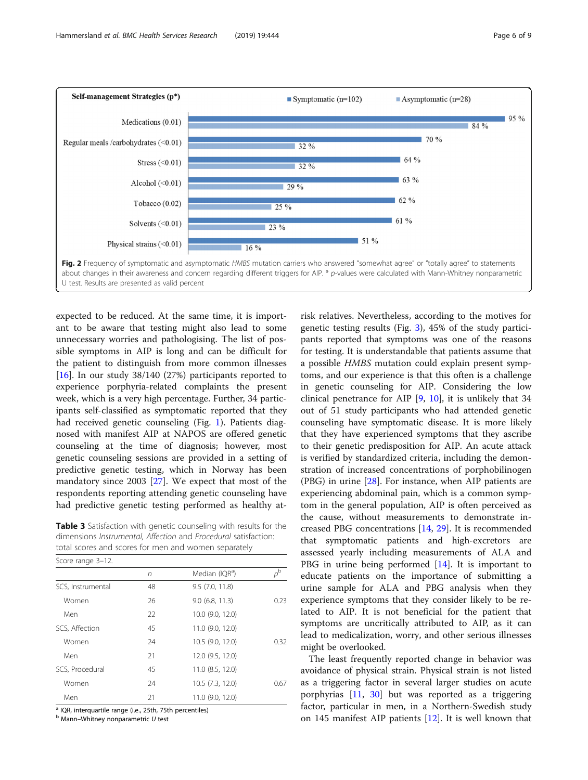<span id="page-5-0"></span>

expected to be reduced. At the same time, it is important to be aware that testing might also lead to some unnecessary worries and pathologising. The list of possible symptoms in AIP is long and can be difficult for the patient to distinguish from more common illnesses [[16\]](#page-8-0). In our study 38/140 (27%) participants reported to experience porphyria-related complaints the present week, which is a very high percentage. Further, 34 participants self-classified as symptomatic reported that they had received genetic counseling (Fig. [1](#page-2-0)). Patients diagnosed with manifest AIP at NAPOS are offered genetic counseling at the time of diagnosis; however, most genetic counseling sessions are provided in a setting of predictive genetic testing, which in Norway has been mandatory since 2003 [\[27\]](#page-8-0). We expect that most of the respondents reporting attending genetic counseling have had predictive genetic testing performed as healthy at-

Table 3 Satisfaction with genetic counseling with results for the dimensions Instrumental, Affection and Procedural satisfaction: total scores and scores for men and women separately

| Score range 3-12. |    |                            |             |
|-------------------|----|----------------------------|-------------|
|                   | n  | Median (IQR <sup>a</sup> ) | $p^{\rm b}$ |
| SCS, Instrumental | 48 | 9.5(7.0, 11.8)             |             |
| Women             | 26 | $9.0$ (6.8, 11.3)          | 0.23        |
| Men               | 22 | 10.0 (9.0, 12.0)           |             |
| SCS, Affection    | 45 | 11.0 (9.0, 12.0)           |             |
| Women             | 24 | 10.5 (9.0, 12.0)           | 0.32        |
| Men               | 21 | 12.0 (9.5, 12.0)           |             |
| SCS, Procedural   | 45 | 11.0 (8.5, 12.0)           |             |
| Women             | 24 | 10.5 (7.3, 12.0)           | 0.67        |
| Men               | 21 | 11.0 (9.0, 12.0)           |             |

<sup>a</sup> IQR, interquartile range (i.e., 25th, 75th percentiles)

 $<sup>b</sup>$  Mann–Whitney nonparametric U test</sup>

risk relatives. Nevertheless, according to the motives for genetic testing results (Fig. [3](#page-6-0)), 45% of the study participants reported that symptoms was one of the reasons for testing. It is understandable that patients assume that a possible HMBS mutation could explain present symptoms, and our experience is that this often is a challenge in genetic counseling for AIP. Considering the low clinical penetrance for AIP [[9,](#page-8-0) [10\]](#page-8-0), it is unlikely that 34 out of 51 study participants who had attended genetic counseling have symptomatic disease. It is more likely that they have experienced symptoms that they ascribe to their genetic predisposition for AIP. An acute attack is verified by standardized criteria, including the demonstration of increased concentrations of porphobilinogen (PBG) in urine [[28\]](#page-8-0). For instance, when AIP patients are experiencing abdominal pain, which is a common symptom in the general population, AIP is often perceived as the cause, without measurements to demonstrate increased PBG concentrations [\[14,](#page-8-0) [29](#page-8-0)]. It is recommended that symptomatic patients and high-excretors are assessed yearly including measurements of ALA and PBG in urine being performed [\[14](#page-8-0)]. It is important to educate patients on the importance of submitting a urine sample for ALA and PBG analysis when they experience symptoms that they consider likely to be related to AIP. It is not beneficial for the patient that symptoms are uncritically attributed to AIP, as it can lead to medicalization, worry, and other serious illnesses might be overlooked.

The least frequently reported change in behavior was avoidance of physical strain. Physical strain is not listed as a triggering factor in several larger studies on acute porphyrias [\[11,](#page-8-0) [30\]](#page-8-0) but was reported as a triggering factor, particular in men, in a Northern-Swedish study on 145 manifest AIP patients [\[12\]](#page-8-0). It is well known that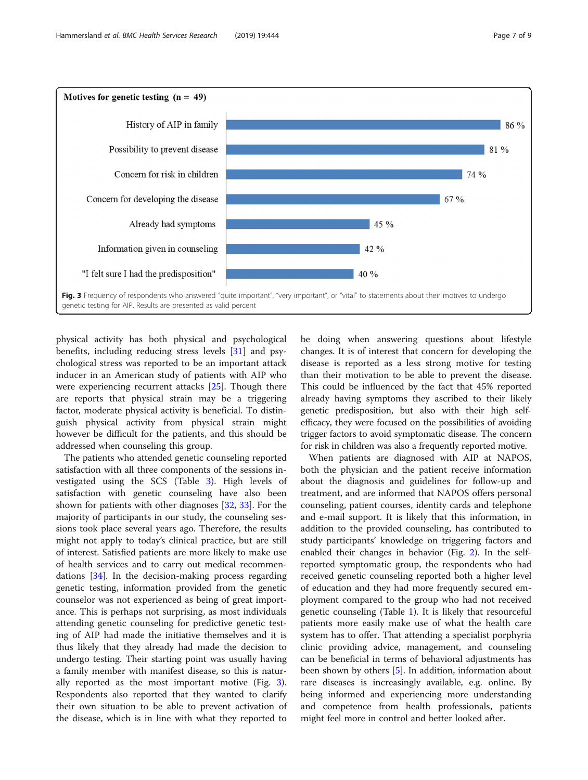<span id="page-6-0"></span>

physical activity has both physical and psychological benefits, including reducing stress levels [\[31\]](#page-8-0) and psychological stress was reported to be an important attack inducer in an American study of patients with AIP who were experiencing recurrent attacks [\[25\]](#page-8-0). Though there are reports that physical strain may be a triggering factor, moderate physical activity is beneficial. To distinguish physical activity from physical strain might however be difficult for the patients, and this should be addressed when counseling this group.

The patients who attended genetic counseling reported satisfaction with all three components of the sessions investigated using the SCS (Table [3\)](#page-5-0). High levels of satisfaction with genetic counseling have also been shown for patients with other diagnoses [[32](#page-8-0), [33](#page-8-0)]. For the majority of participants in our study, the counseling sessions took place several years ago. Therefore, the results might not apply to today's clinical practice, but are still of interest. Satisfied patients are more likely to make use of health services and to carry out medical recommendations [\[34\]](#page-8-0). In the decision-making process regarding genetic testing, information provided from the genetic counselor was not experienced as being of great importance. This is perhaps not surprising, as most individuals attending genetic counseling for predictive genetic testing of AIP had made the initiative themselves and it is thus likely that they already had made the decision to undergo testing. Their starting point was usually having a family member with manifest disease, so this is naturally reported as the most important motive (Fig. 3). Respondents also reported that they wanted to clarify their own situation to be able to prevent activation of the disease, which is in line with what they reported to

be doing when answering questions about lifestyle changes. It is of interest that concern for developing the disease is reported as a less strong motive for testing than their motivation to be able to prevent the disease. This could be influenced by the fact that 45% reported already having symptoms they ascribed to their likely genetic predisposition, but also with their high selfefficacy, they were focused on the possibilities of avoiding trigger factors to avoid symptomatic disease. The concern for risk in children was also a frequently reported motive.

When patients are diagnosed with AIP at NAPOS, both the physician and the patient receive information about the diagnosis and guidelines for follow-up and treatment, and are informed that NAPOS offers personal counseling, patient courses, identity cards and telephone and e-mail support. It is likely that this information, in addition to the provided counseling, has contributed to study participants' knowledge on triggering factors and enabled their changes in behavior (Fig. [2\)](#page-5-0). In the selfreported symptomatic group, the respondents who had received genetic counseling reported both a higher level of education and they had more frequently secured employment compared to the group who had not received genetic counseling (Table [1\)](#page-3-0). It is likely that resourceful patients more easily make use of what the health care system has to offer. That attending a specialist porphyria clinic providing advice, management, and counseling can be beneficial in terms of behavioral adjustments has been shown by others [\[5](#page-8-0)]. In addition, information about rare diseases is increasingly available, e.g. online. By being informed and experiencing more understanding and competence from health professionals, patients might feel more in control and better looked after.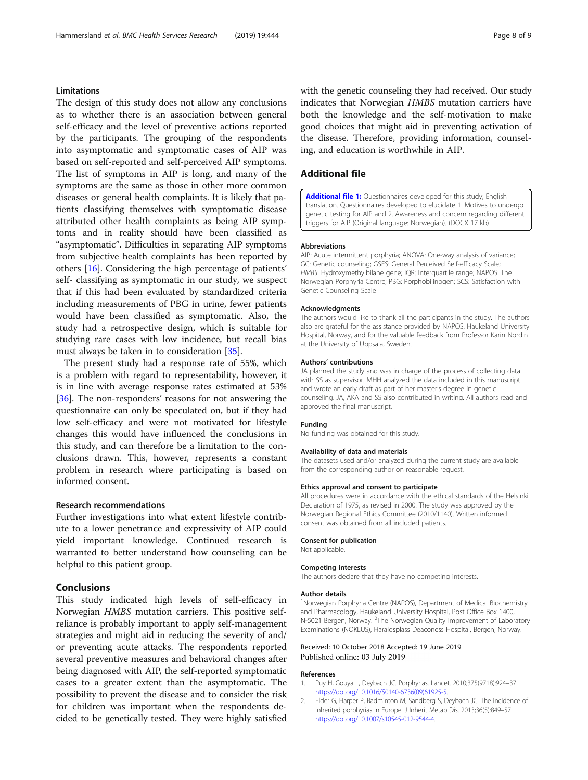# <span id="page-7-0"></span>Limitations

The design of this study does not allow any conclusions as to whether there is an association between general self-efficacy and the level of preventive actions reported by the participants. The grouping of the respondents into asymptomatic and symptomatic cases of AIP was based on self-reported and self-perceived AIP symptoms. The list of symptoms in AIP is long, and many of the symptoms are the same as those in other more common diseases or general health complaints. It is likely that patients classifying themselves with symptomatic disease attributed other health complaints as being AIP symptoms and in reality should have been classified as "asymptomatic". Difficulties in separating AIP symptoms from subjective health complaints has been reported by others [[16](#page-8-0)]. Considering the high percentage of patients' self- classifying as symptomatic in our study, we suspect that if this had been evaluated by standardized criteria including measurements of PBG in urine, fewer patients would have been classified as symptomatic. Also, the study had a retrospective design, which is suitable for studying rare cases with low incidence, but recall bias must always be taken in to consideration [[35](#page-8-0)].

The present study had a response rate of 55%, which is a problem with regard to representability, however, it is in line with average response rates estimated at 53% [[36\]](#page-8-0). The non-responders' reasons for not answering the questionnaire can only be speculated on, but if they had low self-efficacy and were not motivated for lifestyle changes this would have influenced the conclusions in this study, and can therefore be a limitation to the conclusions drawn. This, however, represents a constant problem in research where participating is based on informed consent.

# Research recommendations

Further investigations into what extent lifestyle contribute to a lower penetrance and expressivity of AIP could yield important knowledge. Continued research is warranted to better understand how counseling can be helpful to this patient group.

# Conclusions

This study indicated high levels of self-efficacy in Norwegian HMBS mutation carriers. This positive selfreliance is probably important to apply self-management strategies and might aid in reducing the severity of and/ or preventing acute attacks. The respondents reported several preventive measures and behavioral changes after being diagnosed with AIP, the self-reported symptomatic cases to a greater extent than the asymptomatic. The possibility to prevent the disease and to consider the risk for children was important when the respondents decided to be genetically tested. They were highly satisfied

with the genetic counseling they had received. Our study indicates that Norwegian HMBS mutation carriers have both the knowledge and the self-motivation to make good choices that might aid in preventing activation of the disease. Therefore, providing information, counseling, and education is worthwhile in AIP.

# Additional file

[Additional file 1:](https://doi.org/10.1186/s12913-019-4285-9) Questionnaires developed for this study; English translation. Questionnaires developed to elucidate 1. Motives to undergo genetic testing for AIP and 2. Awareness and concern regarding different triggers for AIP (Original language: Norwegian). (DOCX 17 kb)

## Abbreviations

AIP: Acute intermittent porphyria; ANOVA: One-way analysis of variance; GC: Genetic counseling; GSES: General Perceived Self-efficacy Scale; HMBS: Hydroxymethylbilane gene; IQR: Interquartile range; NAPOS: The Norwegian Porphyria Centre; PBG: Porphobilinogen; SCS: Satisfaction with Genetic Counseling Scale

#### Acknowledgments

The authors would like to thank all the participants in the study. The authors also are grateful for the assistance provided by NAPOS, Haukeland University Hospital, Norway, and for the valuable feedback from Professor Karin Nordin at the University of Uppsala, Sweden.

### Authors' contributions

JA planned the study and was in charge of the process of collecting data with SS as supervisor. MHH analyzed the data included in this manuscript and wrote an early draft as part of her master's degree in genetic counseling. JA, AKA and SS also contributed in writing. All authors read and approved the final manuscript.

#### Funding

No funding was obtained for this study.

#### Availability of data and materials

The datasets used and/or analyzed during the current study are available from the corresponding author on reasonable request.

# Ethics approval and consent to participate

All procedures were in accordance with the ethical standards of the Helsinki Declaration of 1975, as revised in 2000. The study was approved by the Norwegian Regional Ethics Committee (2010/1140). Written informed consent was obtained from all included patients.

#### Consent for publication

Not applicable.

#### Competing interests

The authors declare that they have no competing interests.

#### Author details

<sup>1</sup>Norwegian Porphyria Centre (NAPOS), Department of Medical Biochemistry and Pharmacology, Haukeland University Hospital, Post Office Box 1400, N-5021 Bergen, Norway. <sup>2</sup>The Norwegian Quality Improvement of Laboratory Examinations (NOKLUS), Haraldsplass Deaconess Hospital, Bergen, Norway.

# Received: 10 October 2018 Accepted: 19 June 2019 Published online: 03 July 2019

#### References

- 1. Puy H, Gouya L, Deybach JC. Porphyrias. Lancet. 2010;375(9718):924–37. [https://doi.org/10.1016/S0140-6736\(09\)61925-5.](https://doi.org/10.1016/S0140-6736(09)61925-5)
- 2. Elder G, Harper P, Badminton M, Sandberg S, Deybach JC. The incidence of inherited porphyrias in Europe. J Inherit Metab Dis. 2013;36(5):849–57. <https://doi.org/10.1007/s10545-012-9544-4>.